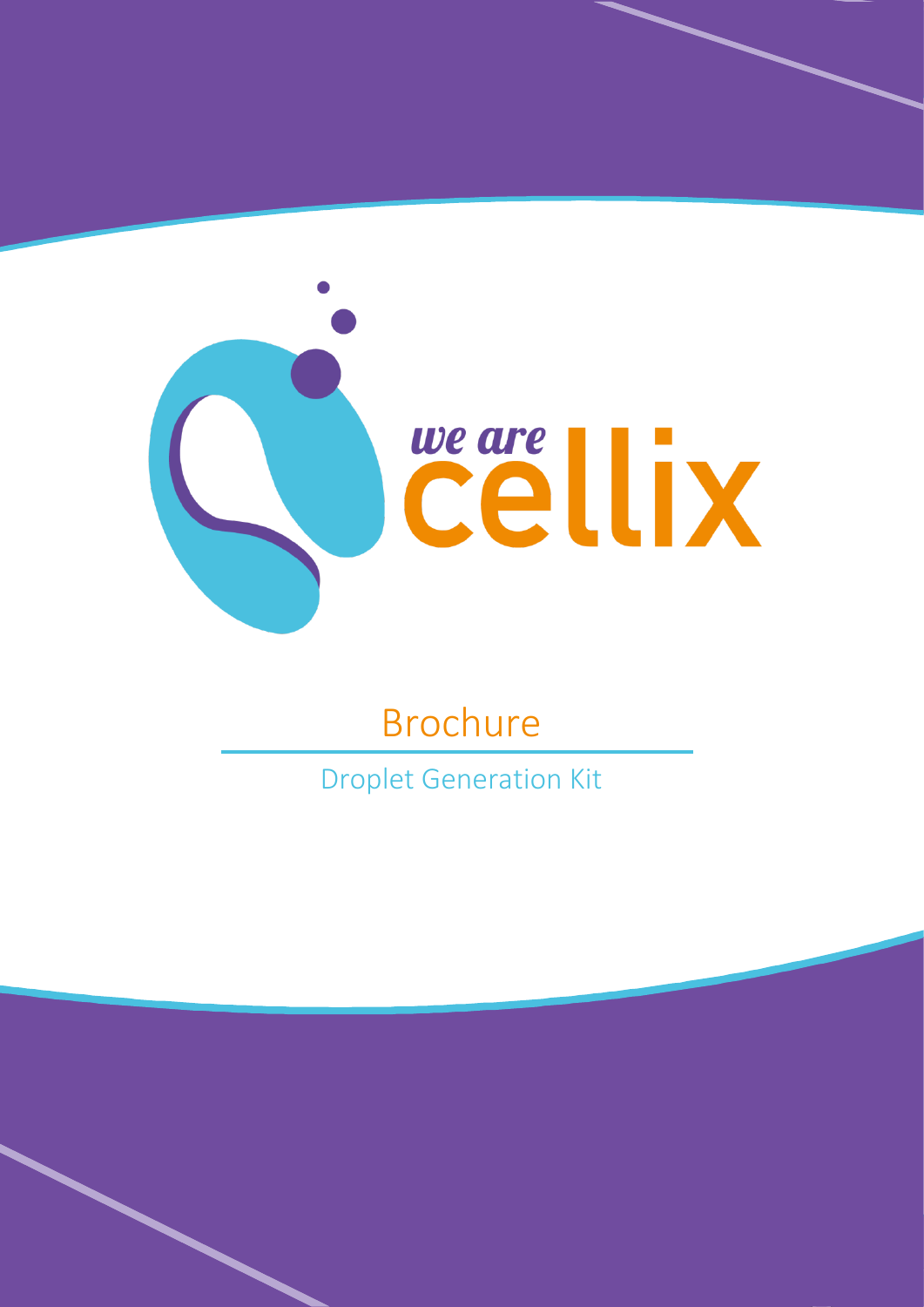

## Brochure

Droplet Generation Kit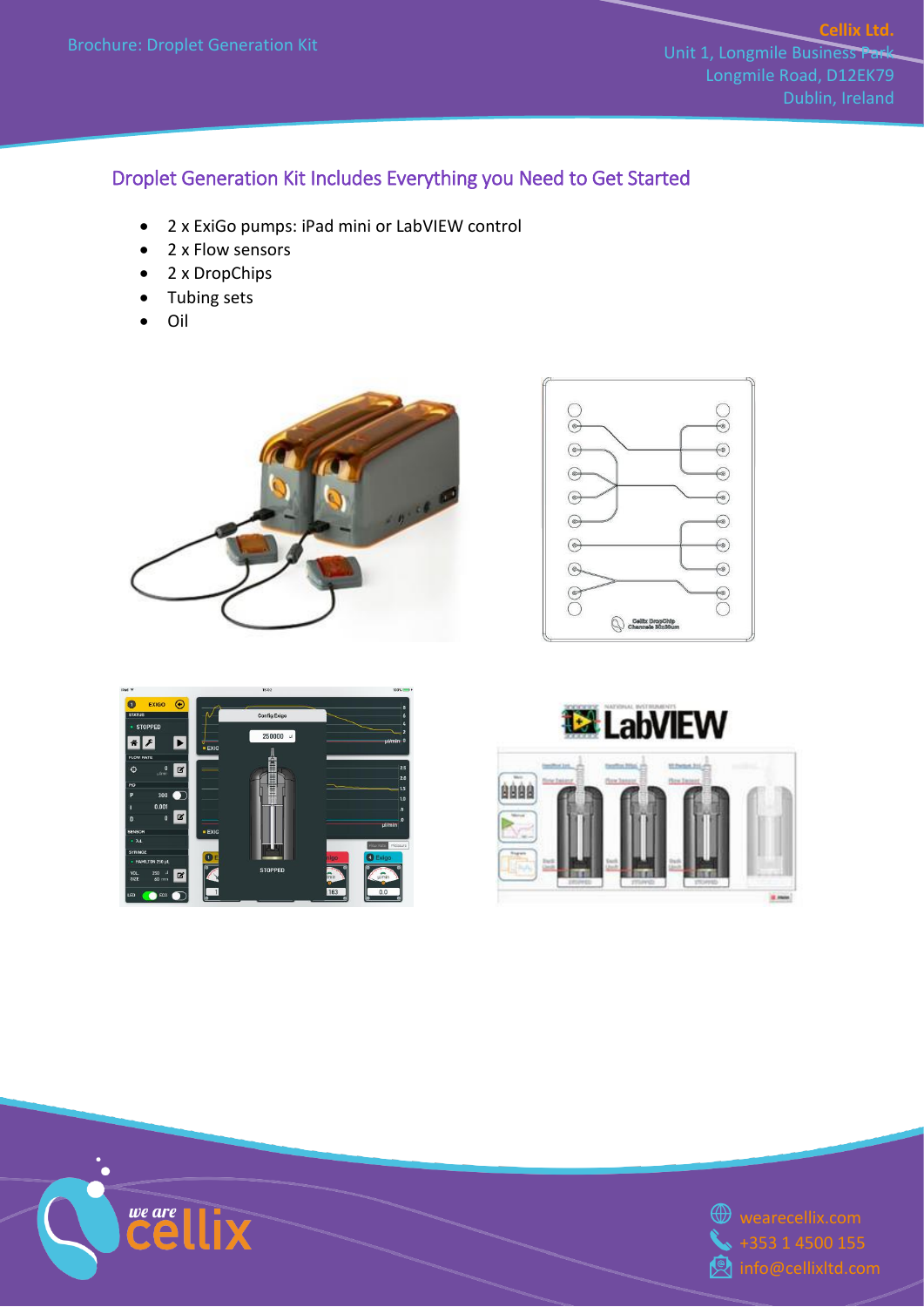**Cellix Ltd.**  Unit 1, Longmile Business Park Longmile Road, D12EK79

## Droplet Generation Kit Includes Everything you Need to Get Started

- 2 x ExiGo pumps: iPad mini or LabVIEW control
- 2 x Flow sensors
- 2 x DropChips
- Tubing sets
- Oil













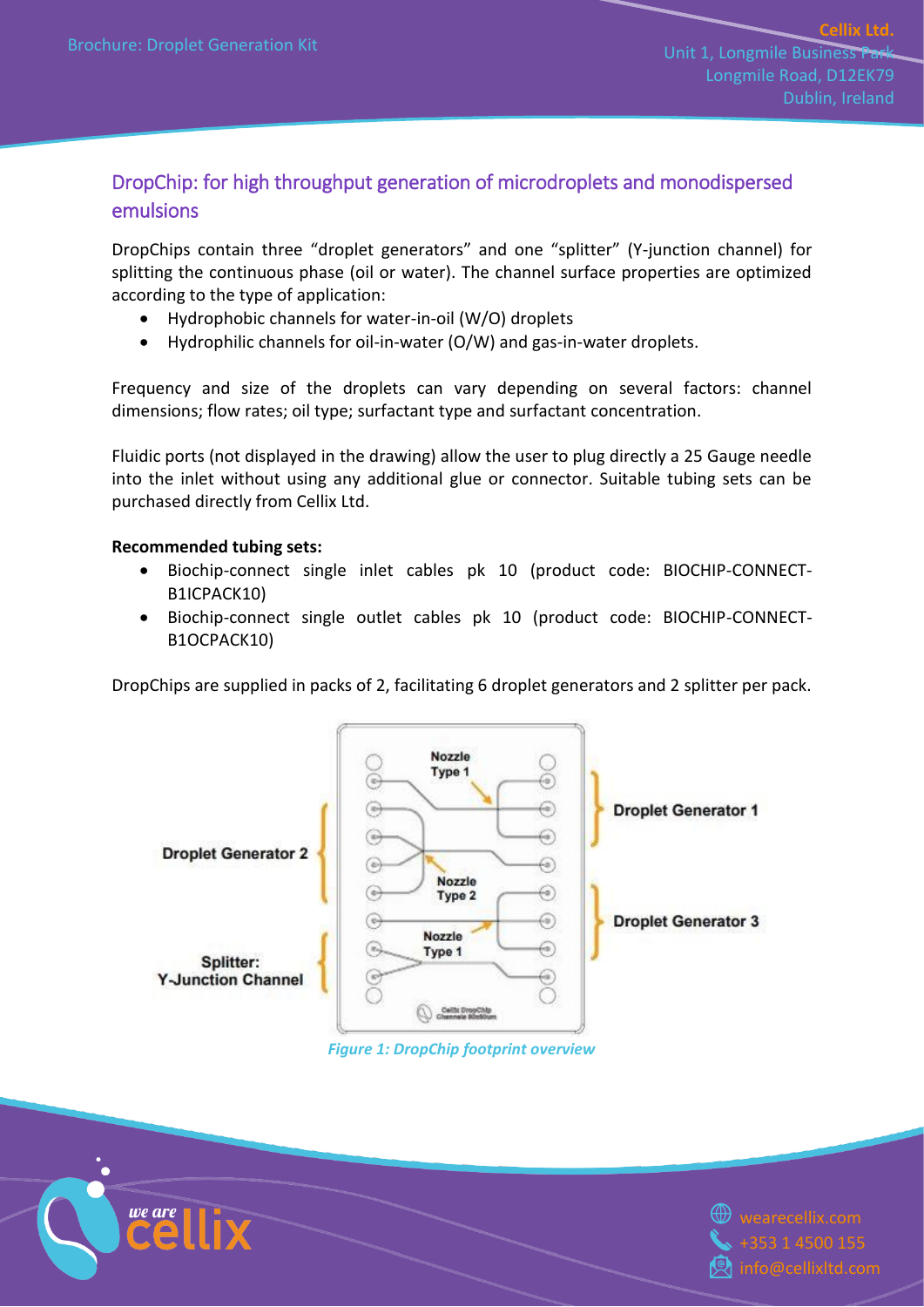**Cellix Ltd.** 

## DropChip: for high throughput generation of microdroplets and monodispersed emulsions

DropChips contain three "droplet generators" and one "splitter" (Y-junction channel) for splitting the continuous phase (oil or water). The channel surface properties are optimized according to the type of application:

- Hydrophobic channels for water-in-oil (W/O) droplets
- Hydrophilic channels for oil-in-water (O/W) and gas-in-water droplets.

Frequency and size of the droplets can vary depending on several factors: channel dimensions; flow rates; oil type; surfactant type and surfactant concentration.

Fluidic ports (not displayed in the drawing) allow the user to plug directly a 25 Gauge needle into the inlet without using any additional glue or connector. Suitable tubing sets can be purchased directly from Cellix Ltd.

## **Recommended tubing sets:**

- Biochip-connect single inlet cables pk 10 (product code: BIOCHIP-CONNECT-B1ICPACK10)
- Biochip-connect single outlet cables pk 10 (product code: BIOCHIP-CONNECT-B1OCPACK10)

DropChips are supplied in packs of 2, facilitating 6 droplet generators and 2 splitter per pack.



*Figure 1: DropChip footprint overview*



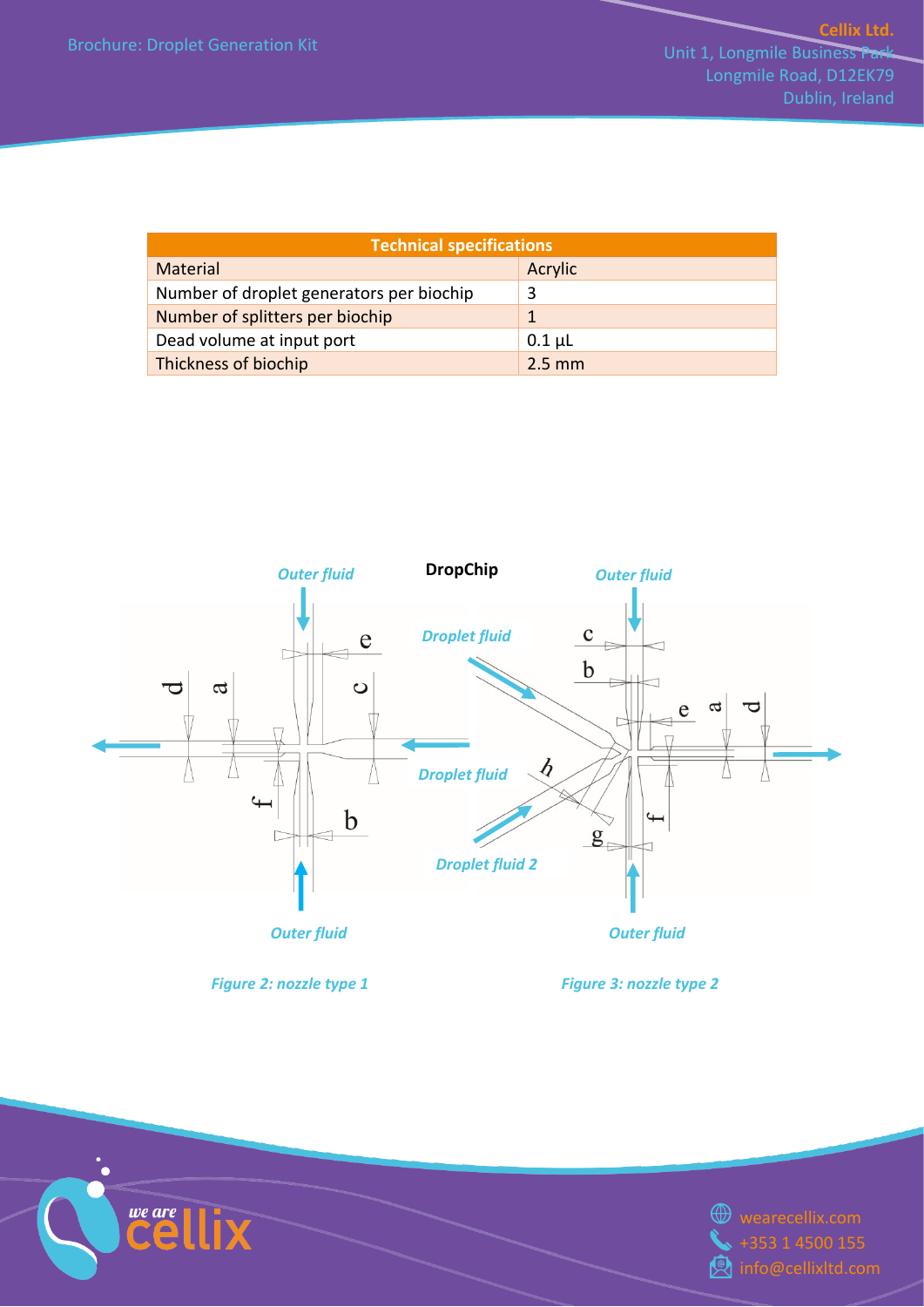| <b>Technical specifications</b>          |                  |  |  |  |  |
|------------------------------------------|------------------|--|--|--|--|
| <b>Material</b>                          | Acrylic          |  |  |  |  |
| Number of droplet generators per biochip |                  |  |  |  |  |
| Number of splitters per biochip          |                  |  |  |  |  |
| Dead volume at input port                | $0.1 \mu L$      |  |  |  |  |
| Thickness of biochip                     | $2.5 \text{ mm}$ |  |  |  |  |



*Figure 2: nozzle type 1 Figure 3: nozzle type 2*



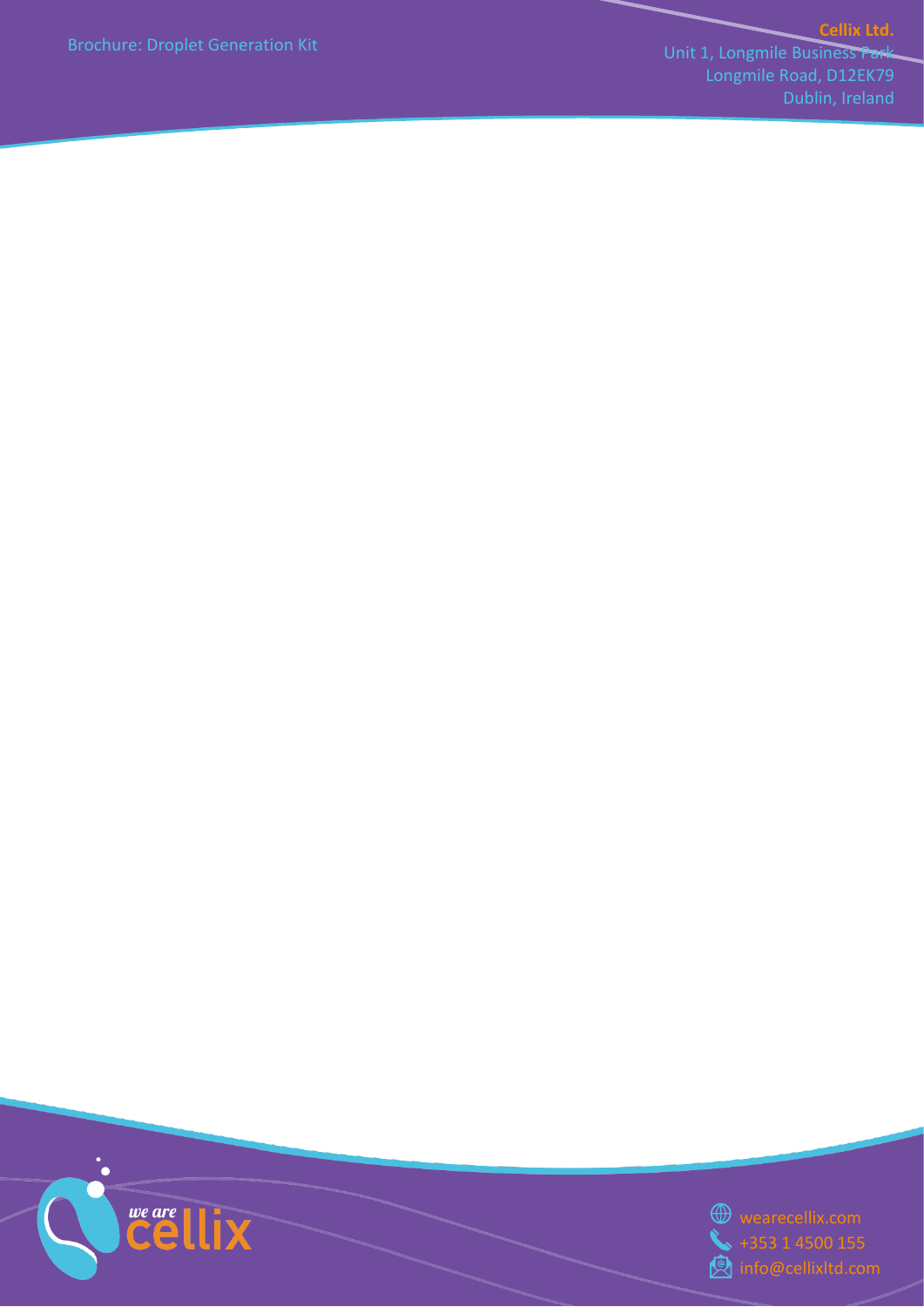Unit 1, Longmile Business Park Longmile Road, D12EK79

**Cellix Ltd.**